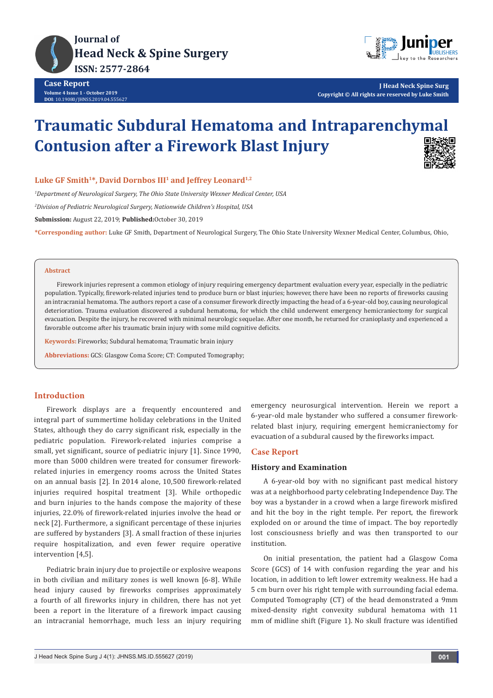



**J Head Neck Spine Surg Copyright © All rights are reserved by Luke Smith**

# **Traumatic Subdural Hematoma and Intraparenchymal Contusion after a Firework Blast Injury**



# Luke GF Smith<sup>1\*</sup>, David Dornbos III<sup>1</sup> and Jeffrey Leonard<sup>1,2</sup>

*1 Department of Neurological Surgery, The Ohio State University Wexner Medical Center, USA*

*2 Division of Pediatric Neurological Surgery, Nationwide Children's Hospital, USA*

**Submission:** August 22, 2019; **Published:**October 30, 2019

**\*Corresponding author:** Luke GF Smith, Department of Neurological Surgery, The Ohio State University Wexner Medical Center, Columbus, Ohio,

#### **Abstract**

Firework injuries represent a common etiology of injury requiring emergency department evaluation every year, especially in the pediatric population. Typically, firework-related injuries tend to produce burn or blast injuries; however, there have been no reports of fireworks causing an intracranial hematoma. The authors report a case of a consumer firework directly impacting the head of a 6-year-old boy, causing neurological deterioration. Trauma evaluation discovered a subdural hematoma, for which the child underwent emergency hemicraniectomy for surgical evacuation. Despite the injury, he recovered with minimal neurologic sequelae. After one month, he returned for cranioplasty and experienced a favorable outcome after his traumatic brain injury with some mild cognitive deficits.

**Keywords:** Fireworks; Subdural hematoma; Traumatic brain injury

**Abbreviations:** GCS: Glasgow Coma Score; CT: Computed Tomography;

## **Introduction**

Firework displays are a frequently encountered and integral part of summertime holiday celebrations in the United States, although they do carry significant risk, especially in the pediatric population. Firework-related injuries comprise a small, yet significant, source of pediatric injury [1]. Since 1990, more than 5000 children were treated for consumer fireworkrelated injuries in emergency rooms across the United States on an annual basis [2]. In 2014 alone, 10,500 firework-related injuries required hospital treatment [3]. While orthopedic and burn injuries to the hands compose the majority of these injuries, 22.0% of firework-related injuries involve the head or neck [2]. Furthermore, a significant percentage of these injuries are suffered by bystanders [3]. A small fraction of these injuries require hospitalization, and even fewer require operative intervention [4,5].

Pediatric brain injury due to projectile or explosive weapons in both civilian and military zones is well known [6-8]. While head injury caused by fireworks comprises approximately a fourth of all fireworks injury in children, there has not yet been a report in the literature of a firework impact causing an intracranial hemorrhage, much less an injury requiring emergency neurosurgical intervention. Herein we report a 6-year-old male bystander who suffered a consumer fireworkrelated blast injury, requiring emergent hemicraniectomy for evacuation of a subdural caused by the fireworks impact.

### **Case Report**

# **History and Examination**

A 6-year-old boy with no significant past medical history was at a neighborhood party celebrating Independence Day. The boy was a bystander in a crowd when a large firework misfired and hit the boy in the right temple. Per report, the firework exploded on or around the time of impact. The boy reportedly lost consciousness briefly and was then transported to our institution.

On initial presentation, the patient had a Glasgow Coma Score (GCS) of 14 with confusion regarding the year and his location, in addition to left lower extremity weakness. He had a 5 cm burn over his right temple with surrounding facial edema. Computed Tomography (CT) of the head demonstrated a 9mm mixed-density right convexity subdural hematoma with 11 mm of midline shift (Figure 1). No skull fracture was identified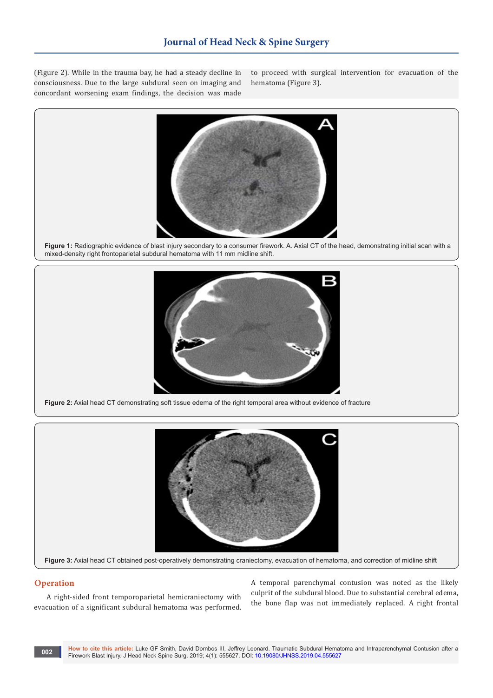(Figure 2). While in the trauma bay, he had a steady decline in consciousness. Due to the large subdural seen on imaging and concordant worsening exam findings, the decision was made

to proceed with surgical intervention for evacuation of the hematoma (Figure 3).



**Figure 1:** Radiographic evidence of blast injury secondary to a consumer firework. A. Axial CT of the head, demonstrating initial scan with a mixed-density right frontoparietal subdural hematoma with 11 mm midline shift.



**Figure 2:** Axial head CT demonstrating soft tissue edema of the right temporal area without evidence of fracture



#### **Operation**

A right-sided front temporoparietal hemicraniectomy with evacuation of a significant subdural hematoma was performed.

A temporal parenchymal contusion was noted as the likely culprit of the subdural blood. Due to substantial cerebral edema, the bone flap was not immediately replaced. A right frontal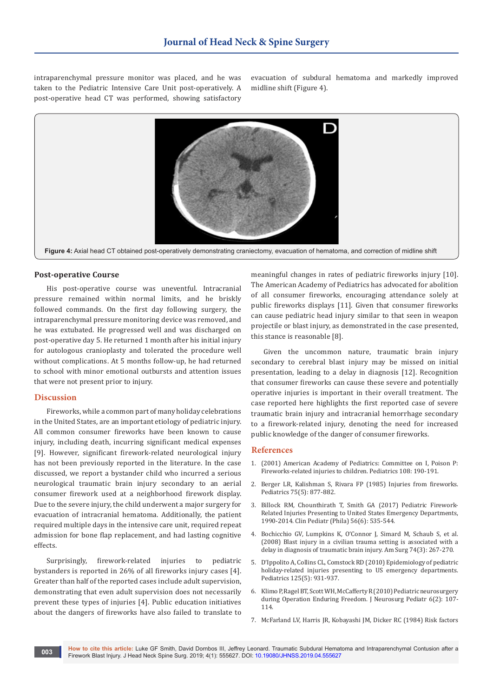intraparenchymal pressure monitor was placed, and he was taken to the Pediatric Intensive Care Unit post-operatively. A post-operative head CT was performed, showing satisfactory

evacuation of subdural hematoma and markedly improved midline shift (Figure 4).



#### **Post-operative Course**

His post-operative course was uneventful. Intracranial pressure remained within normal limits, and he briskly followed commands. On the first day following surgery, the intraparenchymal pressure monitoring device was removed, and he was extubated. He progressed well and was discharged on post-operative day 5. He returned 1 month after his initial injury for autologous cranioplasty and tolerated the procedure well without complications. At 5 months follow-up, he had returned to school with minor emotional outbursts and attention issues that were not present prior to injury.

#### **Discussion**

Fireworks, while a common part of many holiday celebrations in the United States, are an important etiology of pediatric injury. All common consumer fireworks have been known to cause injury, including death, incurring significant medical expenses [9]. However, significant firework-related neurological injury has not been previously reported in the literature. In the case discussed, we report a bystander child who incurred a serious neurological traumatic brain injury secondary to an aerial consumer firework used at a neighborhood firework display. Due to the severe injury, the child underwent a major surgery for evacuation of intracranial hematoma. Additionally, the patient required multiple days in the intensive care unit, required repeat admission for bone flap replacement, and had lasting cognitive effects.

Surprisingly, firework-related injuries to pediatric bystanders is reported in 26% of all fireworks injury cases [4]. Greater than half of the reported cases include adult supervision, demonstrating that even adult supervision does not necessarily prevent these types of injuries [4]. Public education initiatives about the dangers of fireworks have also failed to translate to

meaningful changes in rates of pediatric fireworks injury [10]. The American Academy of Pediatrics has advocated for abolition of all consumer fireworks, encouraging attendance solely at public fireworks displays [11]. Given that consumer fireworks can cause pediatric head injury similar to that seen in weapon projectile or blast injury, as demonstrated in the case presented, this stance is reasonable [8].

Given the uncommon nature, traumatic brain injury secondary to cerebral blast injury may be missed on initial presentation, leading to a delay in diagnosis [12]. Recognition that consumer fireworks can cause these severe and potentially operative injuries is important in their overall treatment. The case reported here highlights the first reported case of severe traumatic brain injury and intracranial hemorrhage secondary to a firework-related injury, denoting the need for increased public knowledge of the danger of consumer fireworks.

#### **References**

- 1. (2001) American Academy of Pediatrics: Committee on I, Poison P: Fireworks-related injuries to children. Pediatrics 108: 190-191.
- 2. [Berger LR, Kalishman S, Rivara FP \(1985\) Injuries from fireworks.](https://www.ncbi.nlm.nih.gov/pubmed/3991275)  [Pediatrics 75\(5\): 877-882.](https://www.ncbi.nlm.nih.gov/pubmed/3991275)
- 3. [Billock RM, Chounthirath T, Smith GA \(2017\) Pediatric Firework-](https://www.ncbi.nlm.nih.gov/pubmed/27550873)[Related Injuries Presenting to United States Emergency Departments,](https://www.ncbi.nlm.nih.gov/pubmed/27550873)  [1990-2014. Clin Pediatr \(Phila\) 56\(6\): 535-544.](https://www.ncbi.nlm.nih.gov/pubmed/27550873)
- 4. [Bochicchio GV, Lumpkins K, O'Connor J, Simard M, Schaub S, et al.](https://www.ncbi.nlm.nih.gov/pubmed/18376697)  [\(2008\) Blast injury in a civilian trauma setting is associated with a](https://www.ncbi.nlm.nih.gov/pubmed/18376697)  [delay in diagnosis of traumatic brain injury. Am Surg 74\(3\): 267-270.](https://www.ncbi.nlm.nih.gov/pubmed/18376697)
- 5. [D'Ippolito A, Collins CL, Comstock RD \(2010\) Epidemiology of pediatric](https://www.ncbi.nlm.nih.gov/pubmed/20368316)  [holiday-related injuries presenting to US emergency departments.](https://www.ncbi.nlm.nih.gov/pubmed/20368316)  [Pediatrics 125\(5\): 931-937.](https://www.ncbi.nlm.nih.gov/pubmed/20368316)
- 6. [Klimo P, Ragel BT, Scott WH, McCafferty R \(2010\) Pediatric neurosurgery](https://www.ncbi.nlm.nih.gov/pubmed/20672929)  [during Operation Enduring Freedom. J Neurosurg Pediatr 6\(2\): 107-](https://www.ncbi.nlm.nih.gov/pubmed/20672929) [114.](https://www.ncbi.nlm.nih.gov/pubmed/20672929)
- 7. [McFarland LV, Harris JR, Kobayashi JM, Dicker RC \(1984\) Risk factors](https://www.ncbi.nlm.nih.gov/pubmed/6726998)